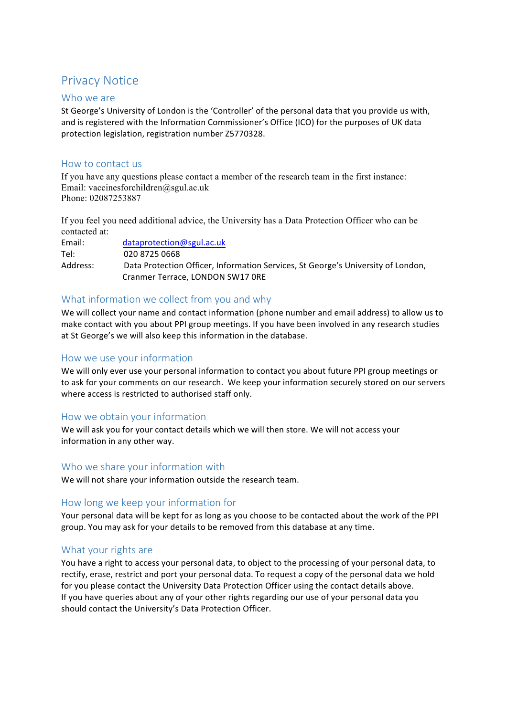# **Privacy Notice**

#### Who we are

St George's University of London is the 'Controller' of the personal data that you provide us with, and is registered with the Information Commissioner's Office (ICO) for the purposes of UK data protection legislation, registration number Z5770328.

### How to contact us

If you have any questions please contact a member of the research team in the first instance: Email: vaccinesforchildren@sgul.ac.uk Phone: 02087253887

If you feel you need additional advice, the University has a Data Protection Officer who can be contacted at:

| Email:   | dataprotection@sgul.ac.uk                                                        |
|----------|----------------------------------------------------------------------------------|
| Tel:     | 020 8725 0668                                                                    |
| Address: | Data Protection Officer, Information Services, St George's University of London, |
|          | Cranmer Terrace, LONDON SW17 ORE                                                 |

# What information we collect from you and why

We will collect your name and contact information (phone number and email address) to allow us to make contact with you about PPI group meetings. If you have been involved in any research studies at St George's we will also keep this information in the database.

#### How we use your information

We will only ever use your personal information to contact you about future PPI group meetings or to ask for your comments on our research. We keep your information securely stored on our servers where access is restricted to authorised staff only.

# How we obtain your information

We will ask you for your contact details which we will then store. We will not access your information in any other way.

#### Who we share your information with

We will not share your information outside the research team.

# How long we keep your information for

Your personal data will be kept for as long as you choose to be contacted about the work of the PPI group. You may ask for your details to be removed from this database at any time.

# What your rights are

You have a right to access your personal data, to object to the processing of your personal data, to rectify, erase, restrict and port your personal data. To request a copy of the personal data we hold for you please contact the University Data Protection Officer using the contact details above. If you have queries about any of your other rights regarding our use of your personal data you should contact the University's Data Protection Officer.